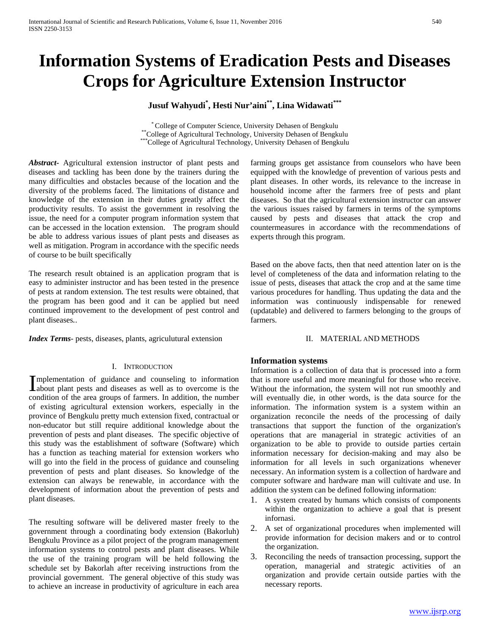# **Information Systems of Eradication Pests and Diseases Crops for Agriculture Extension Instructor**

# **Jusuf Wahyudi\* , Hesti Nur'aini\*\*, Lina Widawati\*\*\***

\* College of Computer Science, University Dehasen of Bengkulu \*\*College of Agricultural Technology, University Dehasen of Bengkulu \*\*\* **College of Agricultural Technology, University Dehasen of Bengkulu** 

*Abstract***-** Agricultural extension instructor of plant pests and diseases and tackling has been done by the trainers during the many difficulties and obstacles because of the location and the diversity of the problems faced. The limitations of distance and knowledge of the extension in their duties greatly affect the productivity results. To assist the government in resolving the issue, the need for a computer program information system that can be accessed in the location extension. The program should be able to address various issues of plant pests and diseases as well as mitigation. Program in accordance with the specific needs of course to be built specifically

The research result obtained is an application program that is easy to administer instructor and has been tested in the presence of pests at random extension. The test results were obtained, that the program has been good and it can be applied but need continued improvement to the development of pest control and plant diseases*.*.

*Index Terms*- pests, diseases, plants, agriculutural extension

#### I. INTRODUCTION

mplementation of guidance and counseling to information Implementation of guidance and counseling to information<br>about plant pests and diseases as well as to overcome is the condition of the area groups of farmers. In addition, the number of existing agricultural extension workers, especially in the province of Bengkulu pretty much extension fixed, contractual or non-educator but still require additional knowledge about the prevention of pests and plant diseases. The specific objective of this study was the establishment of software (Software) which has a function as teaching material for extension workers who will go into the field in the process of guidance and counseling prevention of pests and plant diseases. So knowledge of the extension can always be renewable, in accordance with the development of information about the prevention of pests and plant diseases.

The resulting software will be delivered master freely to the government through a coordinating body extension (Bakorluh) Bengkulu Province as a pilot project of the program management information systems to control pests and plant diseases. While the use of the training program will be held following the schedule set by Bakorlah after receiving instructions from the provincial government. The general objective of this study was to achieve an increase in productivity of agriculture in each area farming groups get assistance from counselors who have been equipped with the knowledge of prevention of various pests and plant diseases. In other words, its relevance to the increase in household income after the farmers free of pests and plant diseases. So that the agricultural extension instructor can answer the various issues raised by farmers in terms of the symptoms caused by pests and diseases that attack the crop and countermeasures in accordance with the recommendations of experts through this program.

Based on the above facts, then that need attention later on is the level of completeness of the data and information relating to the issue of pests, diseases that attack the crop and at the same time various procedures for handling. Thus updating the data and the information was continuously indispensable for renewed (updatable) and delivered to farmers belonging to the groups of farmers.

### II. MATERIAL AND METHODS

#### **Information systems**

Information is a collection of data that is processed into a form that is more useful and more meaningful for those who receive. Without the information, the system will not run smoothly and will eventually die, in other words, is the data source for the information. The information system is a system within an organization reconcile the needs of the processing of daily transactions that support the function of the organization's operations that are managerial in strategic activities of an organization to be able to provide to outside parties certain information necessary for decision-making and may also be information for all levels in such organizations whenever necessary. An information system is a collection of hardware and computer software and hardware man will cultivate and use. In addition the system can be defined following information:

- 1. A system created by humans which consists of components within the organization to achieve a goal that is present infornasi.
- 2. A set of organizational procedures when implemented will provide information for decision makers and or to control the organization.
- 3. Reconciling the needs of transaction processing, support the operation, managerial and strategic activities of an organization and provide certain outside parties with the necessary reports.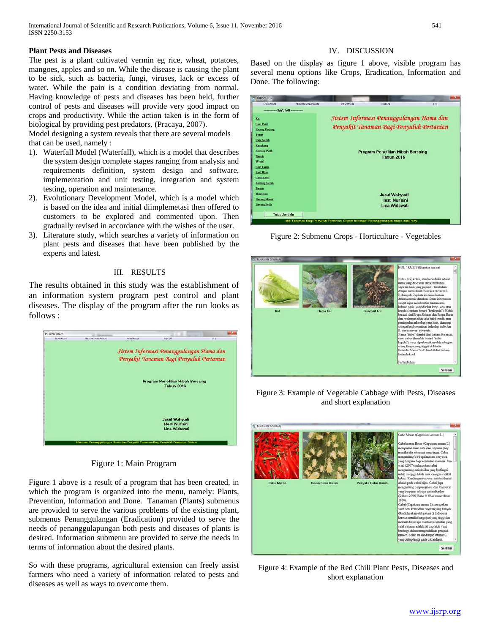#### **Plant Pests and Diseases**

The pest is a plant cultivated vermin eg rice, wheat, potatoes, mangoes, apples and so on. While the disease is causing the plant to be sick, such as bacteria, fungi, viruses, lack or excess of water. While the pain is a condition deviating from normal. Having knowledge of pests and diseases has been held, further control of pests and diseases will provide very good impact on crops and productivity. While the action taken is in the form of biological by providing pest predators. (Pracaya, 2007).

Model designing a system reveals that there are several models that can be used, namely :

- 1). Waterfall Model (Waterfall), which is a model that describes the system design complete stages ranging from analysis and requirements definition, system design and software, implementation and unit testing, integration and system testing, operation and maintenance.
- 2). Evolutionary Development Model, which is a model which is based on the idea and initial diimplemetasi then offered to customers to be explored and commented upon. Then gradually revised in accordance with the wishes of the user.
- 3). Literature study, which searches a variety of information on plant pests and diseases that have been published by the experts and latest.

#### III. RESULTS

The results obtained in this study was the establishment of an information system program pest control and plant diseases. The display of the program after the run looks as follows :



## Figure 1: Main Program

Figure 1 above is a result of a program that has been created, in which the program is organized into the menu, namely: Plants, Prevention, Information and Done. Tanaman (Plants) submenus are provided to serve the various problems of the existing plant, submenus Penanggulangan (Eradication) provided to serve the needs of penanggulapungan both pests and diseases of plants is desired. Information submenu are provided to serve the needs in terms of information about the desired plants.

So with these programs, agricultural extension can freely assist farmers who need a variety of information related to pests and diseases as well as ways to overcome them.

## IV. DISCUSSION

Based on the display as figure 1 above, visible program has several menu options like Crops, Eradication, Information and Done. The following:

| <b>CO SISFO-SULUH</b>                 |                |                  |                                                                                    |     |
|---------------------------------------|----------------|------------------|------------------------------------------------------------------------------------|-----|
| ΤΑΝΑΜΑΝ                               | PENANGGULANGAN | <b>INFORMASI</b> | SELESAL                                                                            | (2) |
| ---------- SAYURAN ---------          |                |                  |                                                                                    |     |
| Kol                                   |                |                  | Sistem Informasi Penanggulangan Hama dan                                           |     |
| <b>Sawi Putih</b>                     |                |                  | Penyakit Tanaman Bagi Penyuluh Pertanian                                           |     |
| <b>Kacang Panjang</b>                 |                |                  |                                                                                    |     |
| <b>Temat</b>                          |                |                  |                                                                                    |     |
| <b>Cabe Merah</b>                     |                |                  |                                                                                    |     |
| Kangkung                              |                |                  |                                                                                    |     |
| <b>Kentang Putih</b><br><b>Buncis</b> |                |                  | Program Penelitian Hibah Bersaing                                                  |     |
| Wortel                                |                |                  | <b>Tahun 2016</b>                                                                  |     |
| <b>Savi Caisia</b>                    |                |                  |                                                                                    |     |
| <b>Sawi Hijau</b>                     |                |                  |                                                                                    |     |
| <b>Cabai Rawit</b>                    |                |                  |                                                                                    |     |
| <b>Kentang Merah</b>                  |                |                  |                                                                                    |     |
| Bayam                                 |                |                  |                                                                                    |     |
| Mentinum                              |                |                  | <b>Jusuf Wahyudi</b>                                                               |     |
| <b>Banang Merah</b>                   |                |                  | Hesti Nur'aini                                                                     |     |
| <b>Banang Putih</b>                   |                |                  | Lina Widawati                                                                      |     |
|                                       |                |                  |                                                                                    |     |
| <b>Tutup Jendela</b>                  |                |                  |                                                                                    |     |
|                                       |                |                  | akit Tanaman Bagi Penyuluh Pertanian Sistem Informasi Penanggulangan Hama dan Peny |     |

Figure 2: Submenu Crops - Horticulture - Vegetables



Figure 3: Example of Vegetable Cabbage with Pests, Diseases and short explanation



Figure 4: Example of the Red Chili Plant Pests, Diseases and short explanation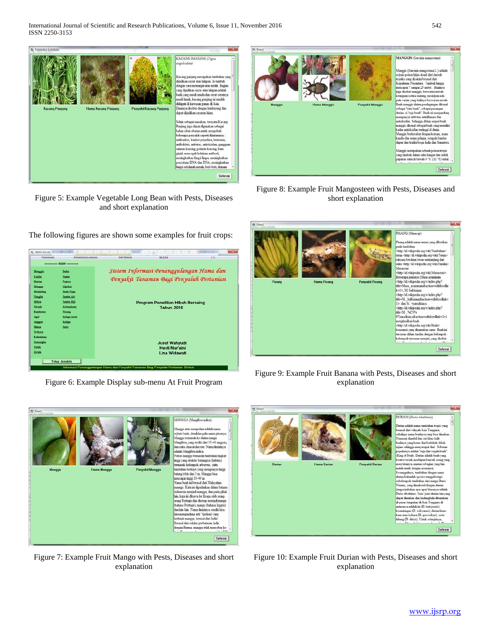

Figure 5: Example Vegetable Long Bean with Pests, Diseases and short explanation

The following figures are shown some examples for fruit crops:

| --------- BUAH --------<br>Sistem Informasi Penanggulangan Hama dan<br><b>Duku</b><br><b>Nanas</b><br>Pepava<br>Alpukar<br><b>Bush Naga</b><br><b>Jambu Air</b><br><b>Jambu Biji</b><br>Program Penelitian Hibah Bersaing<br>Kelengkeng<br><b>Tahun 2016</b><br>Pisano<br>Kelapa Sanit<br>Kelapa<br>Sane<br><b>Jusuf Wahvudi</b><br>Hesti Nur'aini<br>Lina Widawati<br><b>Tutup Jendela</b> | TANAMAN        | <b>PENANGGULANGAN</b> | <b><i>BIFORMASI</i></b>                  | SELESAL | (?) |  |
|---------------------------------------------------------------------------------------------------------------------------------------------------------------------------------------------------------------------------------------------------------------------------------------------------------------------------------------------------------------------------------------------|----------------|-----------------------|------------------------------------------|---------|-----|--|
|                                                                                                                                                                                                                                                                                                                                                                                             |                |                       |                                          |         |     |  |
| <b>Apel</b>                                                                                                                                                                                                                                                                                                                                                                                 | <b>Manggis</b> |                       |                                          |         |     |  |
| <b>Durian</b><br><b>Mangga</b><br><b>Belimbing</b><br><b>Nangka</b><br>Melon<br>Sírask<br><b>Rambutan</b><br><b>Anggur</b><br>Matoa<br><b>Srikava</b><br>Kedondong<br>Semangka<br><b>Salak</b><br>Jeruk                                                                                                                                                                                     | Coldar         |                       | Penyakit Tanaman Bagi Penyuluh Pertanian |         |     |  |
|                                                                                                                                                                                                                                                                                                                                                                                             |                |                       |                                          |         |     |  |
|                                                                                                                                                                                                                                                                                                                                                                                             |                |                       |                                          |         |     |  |
|                                                                                                                                                                                                                                                                                                                                                                                             |                |                       |                                          |         |     |  |
|                                                                                                                                                                                                                                                                                                                                                                                             |                |                       |                                          |         |     |  |
|                                                                                                                                                                                                                                                                                                                                                                                             |                |                       |                                          |         |     |  |
|                                                                                                                                                                                                                                                                                                                                                                                             |                |                       |                                          |         |     |  |
|                                                                                                                                                                                                                                                                                                                                                                                             |                |                       |                                          |         |     |  |
|                                                                                                                                                                                                                                                                                                                                                                                             |                |                       |                                          |         |     |  |
|                                                                                                                                                                                                                                                                                                                                                                                             |                |                       |                                          |         |     |  |
|                                                                                                                                                                                                                                                                                                                                                                                             |                |                       |                                          |         |     |  |
|                                                                                                                                                                                                                                                                                                                                                                                             |                |                       |                                          |         |     |  |
|                                                                                                                                                                                                                                                                                                                                                                                             |                |                       |                                          |         |     |  |
|                                                                                                                                                                                                                                                                                                                                                                                             |                |                       |                                          |         |     |  |
|                                                                                                                                                                                                                                                                                                                                                                                             |                |                       |                                          |         |     |  |
|                                                                                                                                                                                                                                                                                                                                                                                             |                |                       |                                          |         |     |  |
|                                                                                                                                                                                                                                                                                                                                                                                             |                |                       |                                          |         |     |  |
|                                                                                                                                                                                                                                                                                                                                                                                             |                |                       |                                          |         |     |  |

Figure 6: Example Display sub-menu At Fruit Program



Figure 7: Example Fruit Mango with Pests, Diseases and short explanation



Figure 8: Example Fruit Mangosteen with Pests, Diseases and short explanation



Figure 9: Example Fruit Banana with Pests, Diseases and short explanation



Figure 10: Example Fruit Durian with Pests, Diseases and short explanation